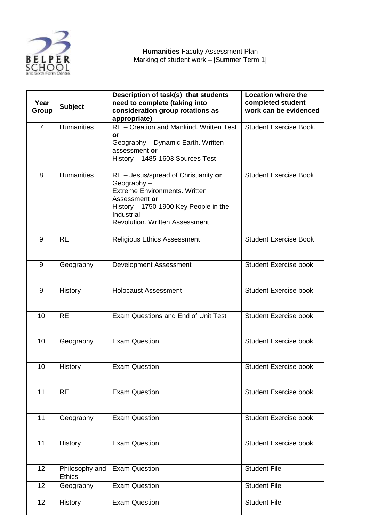

| Year<br><b>Group</b> | <b>Subject</b>                  | Description of task(s) that students<br>need to complete (taking into<br>consideration group rotations as<br>appropriate)                                                                                   | <b>Location where the</b><br>completed student<br>work can be evidenced |
|----------------------|---------------------------------|-------------------------------------------------------------------------------------------------------------------------------------------------------------------------------------------------------------|-------------------------------------------------------------------------|
| $\overline{7}$       | <b>Humanities</b>               | RE - Creation and Mankind. Written Test<br>or<br>Geography - Dynamic Earth. Written<br>assessment or<br>History - 1485-1603 Sources Test                                                                    | <b>Student Exercise Book.</b>                                           |
| 8                    | <b>Humanities</b>               | RE - Jesus/spread of Christianity or<br>Geography-<br><b>Extreme Environments. Written</b><br>Assessment or<br>History - 1750-1900 Key People in the<br>Industrial<br><b>Revolution. Written Assessment</b> | <b>Student Exercise Book</b>                                            |
| 9                    | <b>RE</b>                       | <b>Religious Ethics Assessment</b>                                                                                                                                                                          | <b>Student Exercise Book</b>                                            |
| 9                    | Geography                       | Development Assessment                                                                                                                                                                                      | <b>Student Exercise book</b>                                            |
| 9                    | <b>History</b>                  | <b>Holocaust Assessment</b>                                                                                                                                                                                 | <b>Student Exercise book</b>                                            |
| 10                   | <b>RE</b>                       | Exam Questions and End of Unit Test                                                                                                                                                                         | <b>Student Exercise book</b>                                            |
| 10                   | Geography                       | <b>Exam Question</b>                                                                                                                                                                                        | <b>Student Exercise book</b>                                            |
| 10                   | History                         | <b>Exam Question</b>                                                                                                                                                                                        | <b>Student Exercise book</b>                                            |
| 11                   | <b>RE</b>                       | <b>Exam Question</b>                                                                                                                                                                                        | <b>Student Exercise book</b>                                            |
| 11                   | Geography                       | <b>Exam Question</b>                                                                                                                                                                                        | <b>Student Exercise book</b>                                            |
| 11                   | <b>History</b>                  | <b>Exam Question</b>                                                                                                                                                                                        | <b>Student Exercise book</b>                                            |
| 12                   | Philosophy and<br><b>Ethics</b> | <b>Exam Question</b>                                                                                                                                                                                        | <b>Student File</b>                                                     |
| 12                   | Geography                       | <b>Exam Question</b>                                                                                                                                                                                        | <b>Student File</b>                                                     |
| 12                   | History                         | <b>Exam Question</b>                                                                                                                                                                                        | <b>Student File</b>                                                     |